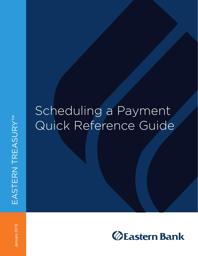## Scheduling a Payment Quick Reference Guide

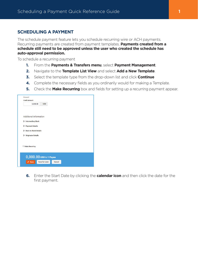## **SCHEDULING A PAYMENT**

The schedule payment feature lets you schedule recurring wire or ACH payments. Recurring payments are created from payment templates. **Payments created from a schedule still need to be approved unless the user who created the schedule has auto-approval permission.**

To schedule a recurring payment

- **1.** From the **Payments & Transfers menu**, select **Payment Management**.
- **2.** Navigate to the **Template List View** and select **Add a New Template**.
- **3.** Select the template type from the drop-down list and click **Continue**
- **4.** Complete the necessary fields as you ordinarily would for making a Template.
- **5.** Check the **Make Recurring** box and fields for setting up a recurring payment appear.

| 0,000.00                                                       | <b>USD</b>     |        |  |  |
|----------------------------------------------------------------|----------------|--------|--|--|
| <b>Additional Information</b><br><b>Intermediary Bank</b><br>≻ |                |        |  |  |
| > Payment Details                                              |                |        |  |  |
| > Bank-to-Bank Details                                         |                |        |  |  |
| > Originator Details                                           |                |        |  |  |
| <b>Make Recurring</b>                                          |                |        |  |  |
| $0,000.00$ USD to 1 Payee                                      |                |        |  |  |
| $\checkmark$ Save                                              | Save for Later | Cancel |  |  |

**6.** Enter the Start Date by clicking the **calendar icon** and then click the date for the first payment.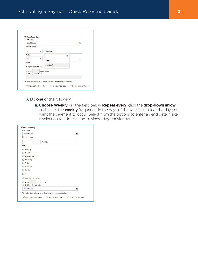| 00/00/0000                           |               | 圃 |  |
|--------------------------------------|---------------|---|--|
| Repeat every                         |               |   |  |
| $\overline{\phantom{a}}$<br>٠        | Month(s)<br>v |   |  |
| On the                               | Q             |   |  |
| 1st<br>v                             | Week(s)       |   |  |
| Ends<br><b>J</b> Upon further notice | Month(s)      |   |  |
| After<br>End by selected date        | occurences    |   |  |

**7.** Do **one** of the following:

**a. Choose Weekly** - in the field below **Repeat every**, click the **drop-down arrow** and select the **weekly** frequency. In the days of the week list, select the day you want the payment to occur. Select from the options to enter an end date. Make a selection to address non-business day transfer dates.

|                              | 00/00/0000<br>匾             |                                                                    |   |  |
|------------------------------|-----------------------------|--------------------------------------------------------------------|---|--|
| Repeat every                 |                             |                                                                    |   |  |
| 1                            | v                           | Week(s)                                                            | ٠ |  |
| On                           |                             |                                                                    |   |  |
| Monday                       |                             |                                                                    |   |  |
| Tuesday                      |                             |                                                                    |   |  |
| Wednesday<br>œ               |                             |                                                                    |   |  |
| Thursday<br>o                |                             |                                                                    |   |  |
| $\blacktriangleright$ Friday |                             |                                                                    |   |  |
| Saturday<br>m                |                             |                                                                    |   |  |
| Sunday<br>∩                  |                             |                                                                    |   |  |
| <b>Fnds</b>                  |                             |                                                                    |   |  |
|                              | Upon further notice         |                                                                    |   |  |
| After<br>∩                   |                             | occurences                                                         |   |  |
|                              | <b>End by selected date</b> |                                                                    |   |  |
| 00/00/0000                   |                             |                                                                    | 篇 |  |
|                              |                             | * If Transfer Date falls on a non-business day, transfer funds on: |   |  |